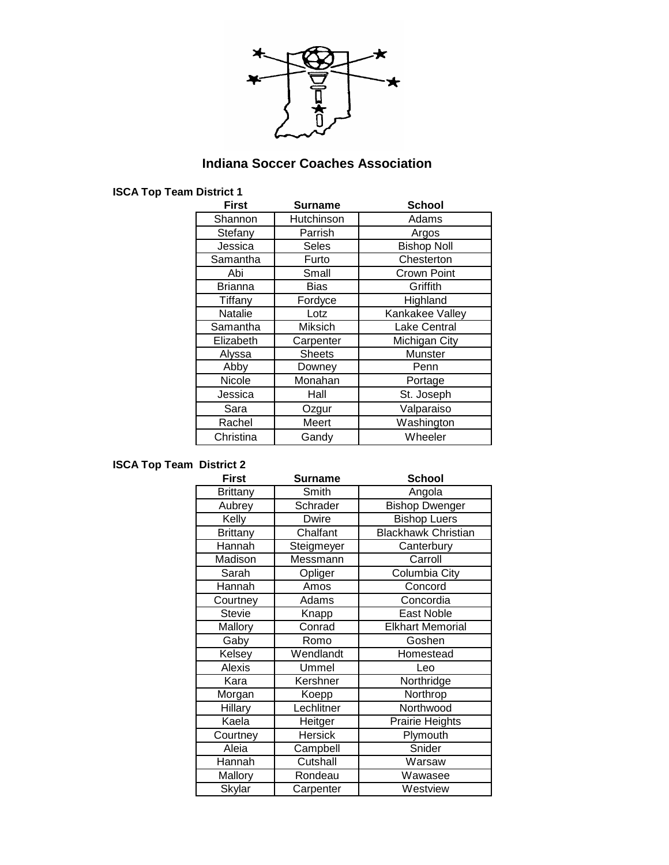

## **Indiana Soccer Coaches Association**

### **ISCA Top Team District 1**

| <b>First</b>   | <b>Surname</b> | <b>School</b>       |
|----------------|----------------|---------------------|
| Shannon        | Hutchinson     | Adams               |
| Stefany        | Parrish        | Argos               |
| Jessica        | <b>Seles</b>   | <b>Bishop Noll</b>  |
| Samantha       | Furto          | Chesterton          |
| Abi            | Small          | Crown Point         |
| Brianna        | Bias           | Griffith            |
| Tiffany        | Fordyce        | Highland            |
| <b>Natalie</b> | Lotz           | Kankakee Valley     |
| Samantha       | Miksich        | <b>Lake Central</b> |
| Elizabeth      | Carpenter      | Michigan City       |
| Alyssa         | <b>Sheets</b>  | Munster             |
| Abby           | Downey         | Penn                |
| Nicole         | Monahan        | Portage             |
| Jessica        | Hall           | St. Joseph          |
| Sara           | Ozgur          | Valparaiso          |
| Rachel         | Meert          | Washington          |
| Christina      | Gandy          | Wheeler             |

# **ISCA Top Team District 2**

| <b>First</b>    | <b>Surname</b> | <b>School</b>              |
|-----------------|----------------|----------------------------|
| <b>Brittany</b> | Smith          | Angola                     |
| Aubrey          | Schrader       | <b>Bishop Dwenger</b>      |
| Kelly           | <b>Dwire</b>   | <b>Bishop Luers</b>        |
| <b>Brittany</b> | Chalfant       | <b>Blackhawk Christian</b> |
| Hannah          | Steigmeyer     | Canterbury                 |
| <b>Madison</b>  | Messmann       | Carroll                    |
| Sarah           | Opliger        | Columbia City              |
| Hannah          | Amos           | Concord                    |
| Courtney        | Adams          | Concordia                  |
| <b>Stevie</b>   | Knapp          | East Noble                 |
| Mallory         | Conrad         | <b>Elkhart Memorial</b>    |
| Gaby            | Romo           | Goshen                     |
| Kelsey          | Wendlandt      | Homestead                  |
| <b>Alexis</b>   | Ummel          | Leo                        |
| Kara            | Kershner       | Northridge                 |
| Morgan          | Koepp          | Northrop                   |
| Hillary         | Lechlitner     | Northwood                  |
| Kaela           | Heitger        | Prairie Heights            |
| Courtney        | <b>Hersick</b> | Plymouth                   |
| Aleia           | Campbell       | Snider                     |
| Hannah          | Cutshall       | Warsaw                     |
| Mallory         | Rondeau        | Wawasee                    |
| Skylar          | Carpenter      | Westview                   |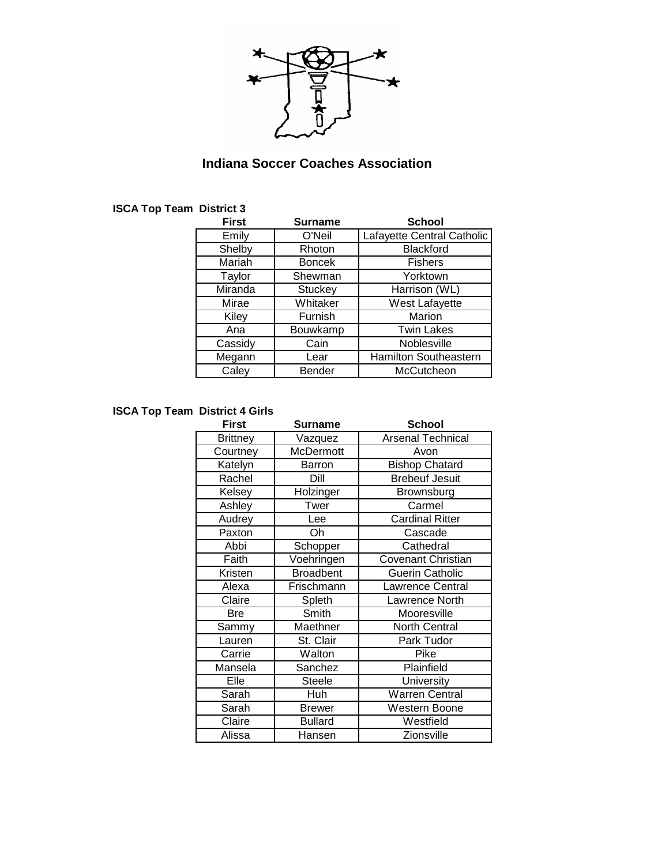

## **Indiana Soccer Coaches Association**

| <b>First</b> | <b>Surname</b> | <b>School</b>              |
|--------------|----------------|----------------------------|
| Emily        | O'Neil         | Lafayette Central Catholic |
| Shelby       | Rhoton         | <b>Blackford</b>           |
| Mariah       | <b>Boncek</b>  | <b>Fishers</b>             |
| Taylor       | Shewman        | Yorktown                   |
| Miranda      | <b>Stuckey</b> | Harrison (WL)              |
| Mirae        | Whitaker       | West Lafayette             |
| Kiley        | Furnish        | Marion                     |
| Ana          | Bouwkamp       | <b>Twin Lakes</b>          |
| Cassidy      | Cain           | Noblesville                |
| Megann       | Lear           | Hamilton Southeastern      |
| Caley        | <b>Bender</b>  | McCutcheon                 |

# **ISCA Top Team District 3**

### **ISCA Top Team District 4 Girls**

| <b>First</b>    | <b>Surname</b>   | <b>School</b>             |
|-----------------|------------------|---------------------------|
| <b>Brittney</b> | Vazquez          | <b>Arsenal Technical</b>  |
| Courtney        | <b>McDermott</b> | Avon                      |
| Katelyn         | Barron           | <b>Bishop Chatard</b>     |
| Rachel          | Dill             | <b>Brebeuf Jesuit</b>     |
| Kelsey          | Holzinger        | Brownsburg                |
| Ashley          | Twer             | Carmel                    |
| Audrey          | Lee              | <b>Cardinal Ritter</b>    |
| Paxton          | Oh               | Cascade                   |
| Abbi            | Schopper         | Cathedral                 |
| Faith           | Voehringen       | <b>Covenant Christian</b> |
| Kristen         | <b>Broadbent</b> | <b>Guerin Catholic</b>    |
| Alexa           | Frischmann       | Lawrence Central          |
| Claire          | Spleth           | Lawrence North            |
| <b>Bre</b>      | Smith            | Mooresville               |
| Sammy           | Maethner         | <b>North Central</b>      |
| Lauren          | St. Clair        | Park Tudor                |
| Carrie          | Walton           | Pike                      |
| Mansela         | Sanchez          | Plainfield                |
| Elle            | <b>Steele</b>    | University                |
| Sarah           | Huh              | <b>Warren Central</b>     |
| Sarah           | <b>Brewer</b>    | Western Boone             |
| Claire          | <b>Bullard</b>   | Westfield                 |
| Alissa          | Hansen           | Zionsville                |